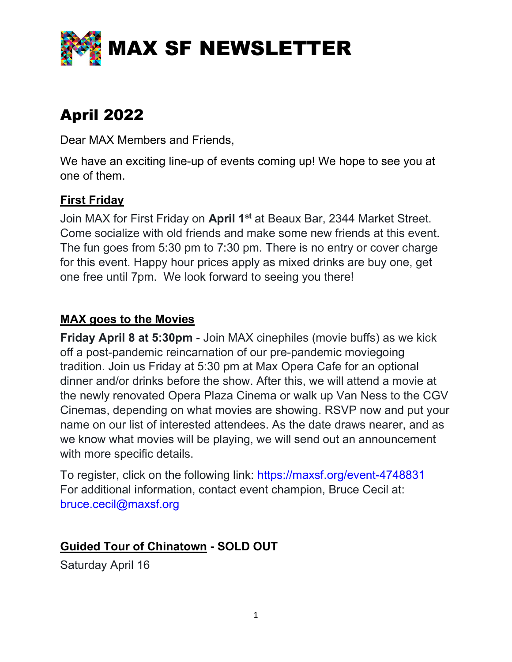

# April 2022

Dear MAX Members and Friends,

We have an exciting line-up of events coming up! We hope to see you at one of them.

# First Friday

Join MAX for First Friday on April 1<sup>st</sup> at Beaux Bar, 2344 Market Street. Come socialize with old friends and make some new friends at this event. The fun goes from 5:30 pm to 7:30 pm. There is no entry or cover charge for this event. Happy hour prices apply as mixed drinks are buy one, get one free until 7pm. We look forward to seeing you there!

#### MAX goes to the Movies

Friday April 8 at 5:30pm - Join MAX cinephiles (movie buffs) as we kick off a post-pandemic reincarnation of our pre-pandemic moviegoing tradition. Join us Friday at 5:30 pm at Max Opera Cafe for an optional dinner and/or drinks before the show. After this, we will attend a movie at the newly renovated Opera Plaza Cinema or walk up Van Ness to the CGV Cinemas, depending on what movies are showing. RSVP now and put your name on our list of interested attendees. As the date draws nearer, and as we know what movies will be playing, we will send out an announcement with more specific details.

To register, click on the following link: https://maxsf.org/event-4748831 For additional information, contact event champion, Bruce Cecil at: bruce.cecil@maxsf.org

## Guided Tour of Chinatown - SOLD OUT

Saturday April 16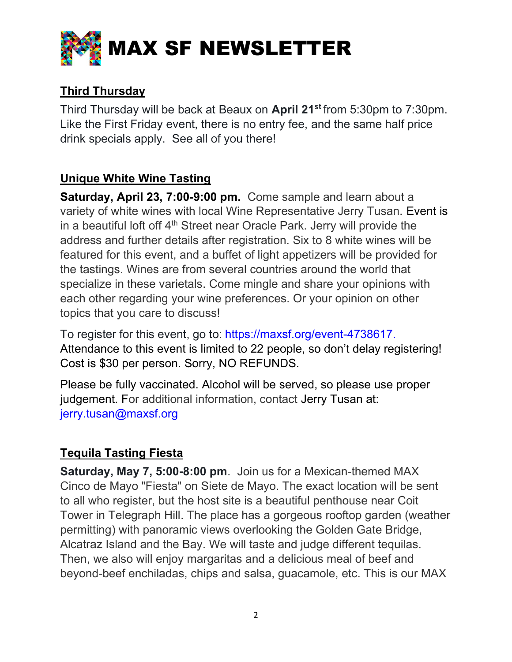

# Third Thursday

Third Thursday will be back at Beaux on April 21<sup>st</sup> from 5:30pm to 7:30pm. Like the First Friday event, there is no entry fee, and the same half price drink specials apply. See all of you there!

# Unique White Wine Tasting

Saturday, April 23, 7:00-9:00 pm. Come sample and learn about a variety of white wines with local Wine Representative Jerry Tusan. Event is in a beautiful loft off 4<sup>th</sup> Street near Oracle Park. Jerry will provide the address and further details after registration. Six to 8 white wines will be featured for this event, and a buffet of light appetizers will be provided for the tastings. Wines are from several countries around the world that specialize in these varietals. Come mingle and share your opinions with each other regarding your wine preferences. Or your opinion on other topics that you care to discuss!

To register for this event, go to: https://maxsf.org/event-4738617. Attendance to this event is limited to 22 people, so don't delay registering! Cost is \$30 per person. Sorry, NO REFUNDS.

Please be fully vaccinated. Alcohol will be served, so please use proper judgement. For additional information, contact Jerry Tusan at: jerry.tusan@maxsf.org

## Tequila Tasting Fiesta

Saturday, May 7, 5:00-8:00 pm. Join us for a Mexican-themed MAX Cinco de Mayo "Fiesta" on Siete de Mayo. The exact location will be sent to all who register, but the host site is a beautiful penthouse near Coit Tower in Telegraph Hill. The place has a gorgeous rooftop garden (weather permitting) with panoramic views overlooking the Golden Gate Bridge, Alcatraz Island and the Bay. We will taste and judge different tequilas. Then, we also will enjoy margaritas and a delicious meal of beef and beyond-beef enchiladas, chips and salsa, guacamole, etc. This is our MAX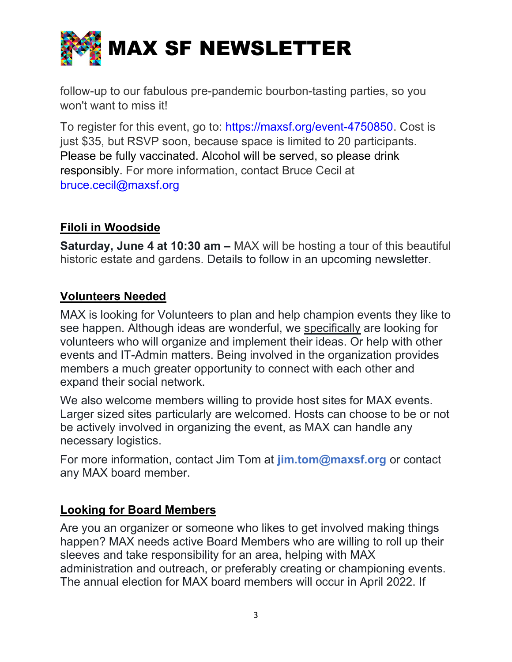

follow-up to our fabulous pre-pandemic bourbon-tasting parties, so you won't want to miss it!

To register for this event, go to: https://maxsf.org/event-4750850. Cost is just \$35, but RSVP soon, because space is limited to 20 participants. Please be fully vaccinated. Alcohol will be served, so please drink responsibly. For more information, contact Bruce Cecil at bruce.cecil@maxsf.org

# Filoli in Woodside

Saturday, June 4 at 10:30 am – MAX will be hosting a tour of this beautiful historic estate and gardens. Details to follow in an upcoming newsletter.

#### Volunteers Needed

MAX is looking for Volunteers to plan and help champion events they like to see happen. Although ideas are wonderful, we specifically are looking for volunteers who will organize and implement their ideas. Or help with other events and IT-Admin matters. Being involved in the organization provides members a much greater opportunity to connect with each other and expand their social network.

We also welcome members willing to provide host sites for MAX events. Larger sized sites particularly are welcomed. Hosts can choose to be or not be actively involved in organizing the event, as MAX can handle any necessary logistics.

For more information, contact Jim Tom at jim.tom@maxsf.org or contact any MAX board member.

#### Looking for Board Members

Are you an organizer or someone who likes to get involved making things happen? MAX needs active Board Members who are willing to roll up their sleeves and take responsibility for an area, helping with MAX administration and outreach, or preferably creating or championing events. The annual election for MAX board members will occur in April 2022. If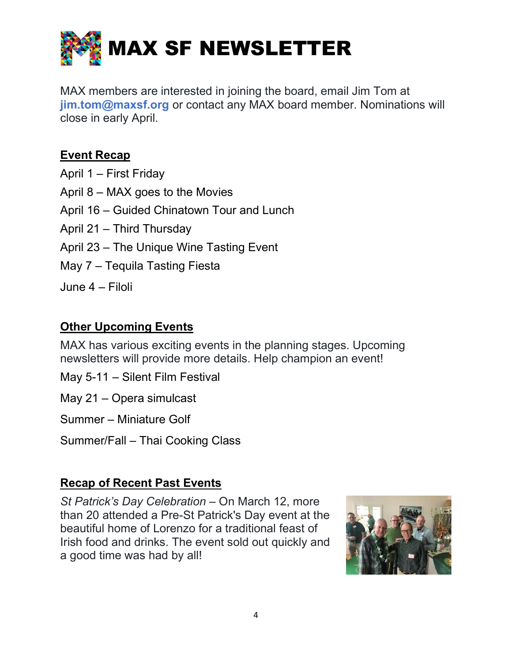

MAX members are interested in joining the board, email Jim Tom at jim.tom@maxsf.org or contact any MAX board member. Nominations will close in early April.

## Event Recap

- April 1 First Friday April 8 – MAX goes to the Movies April 16 – Guided Chinatown Tour and Lunch April 21 – Third Thursday April 23 – The Unique Wine Tasting Event
- May 7 Tequila Tasting Fiesta
- June 4 Filoli

# **Other Upcoming Events**

MAX has various exciting events in the planning stages. Upcoming newsletters will provide more details. Help champion an event!

May 5-11 – Silent Film Festival

May 21 – Opera simulcast

Summer – Miniature Golf

Summer/Fall – Thai Cooking Class

## Recap of Recent Past Events

St Patrick's Day Celebration – On March 12, more than 20 attended a Pre-St Patrick's Day event at the beautiful home of Lorenzo for a traditional feast of Irish food and drinks. The event sold out quickly and a good time was had by all!